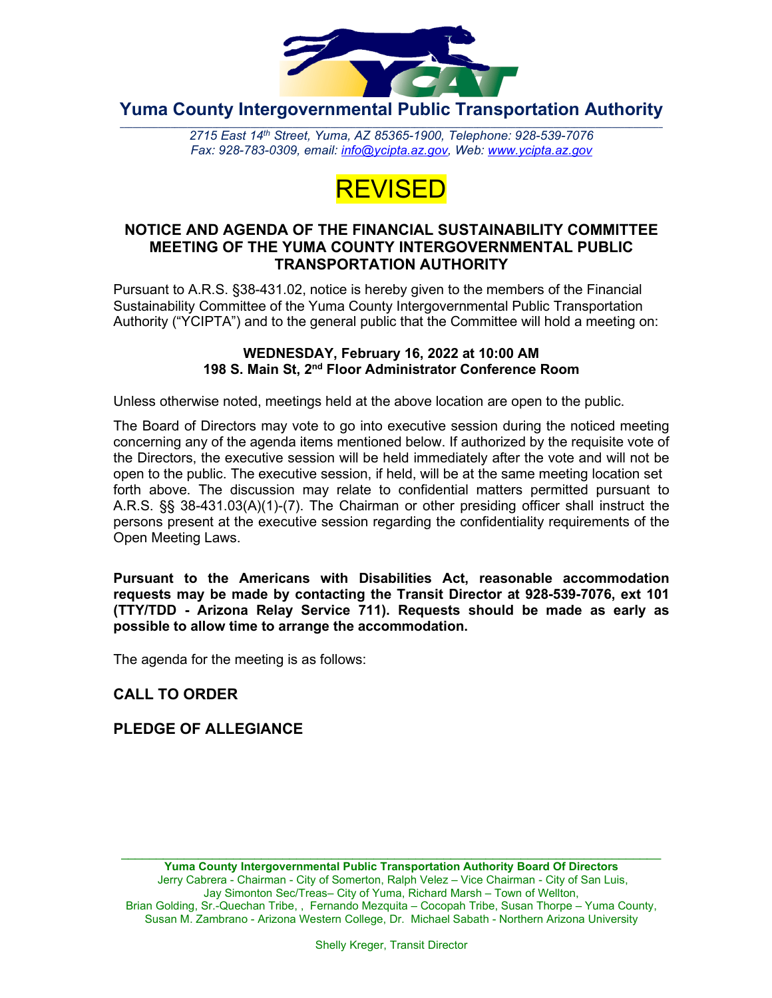

**Yuma County Intergovernmental Public Transportation Authority**

2715 East 14th Street, Yuma, AZ 85365-1900, Telephone: 928-539-7076 *Fax: 928-783-0309, email: [info@ycipta.az.gov,](mailto:info@ycipta.az.gov) Web: [www.ycipta.az.gov](http://www.ycipta.az.gov/)*



#### **NOTICE AND AGENDA OF THE FINANCIAL SUSTAINABILITY COMMITTEE MEETING OF THE YUMA COUNTY INTERGOVERNMENTAL PUBLIC TRANSPORTATION AUTHORITY**

Pursuant to A.R.S. §38-431.02, notice is hereby given to the members of the Financial Sustainability Committee of the Yuma County Intergovernmental Public Transportation Authority ("YCIPTA") and to the general public that the Committee will hold a meeting on:

#### **WEDNESDAY, February 16, 2022 at 10:00 AM 198 S. Main St, 2nd Floor Administrator Conference Room**

Unless otherwise noted, meetings held at the above location are open to the public.

The Board of Directors may vote to go into executive session during the noticed meeting concerning any of the agenda items mentioned below. If authorized by the requisite vote of the Directors, the executive session will be held immediately after the vote and will not be open to the public. The executive session, if held, will be at the same meeting location set forth above. The discussion may relate to confidential matters permitted pursuant to A.R.S. §§ 38-431.03(A)(1)-(7). The Chairman or other presiding officer shall instruct the persons present at the executive session regarding the confidentiality requirements of the Open Meeting Laws.

**Pursuant to the Americans with Disabilities Act, reasonable accommodation requests may be made by contacting the Transit Director at 928-539-7076, ext 101 (TTY/TDD - Arizona Relay Service 711). Requests should be made as early as possible to allow time to arrange the accommodation.**

The agenda for the meeting is as follows:

# **CALL TO ORDER**

# **PLEDGE OF ALLEGIANCE**